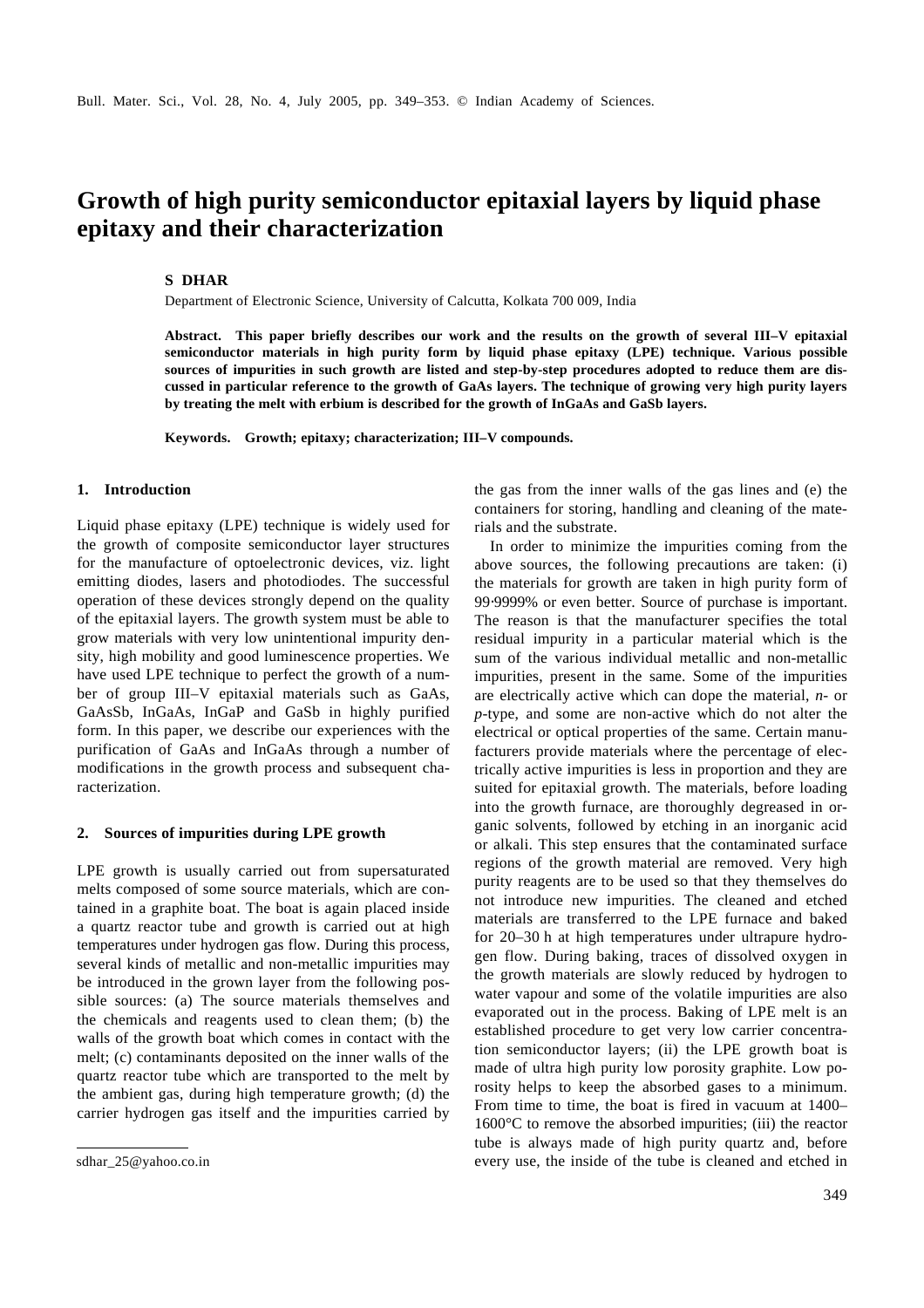# **Growth of high purity semiconductor epitaxial layers by liquid phase epitaxy and their characterization**

# **S DHAR**

Department of Electronic Science, University of Calcutta, Kolkata 700 009, India

**Abstract. This paper briefly describes our work and the results on the growth of several III–V epitaxial semiconductor materials in high purity form by liquid phase epitaxy (LPE) technique. Various possible sources of impurities in such growth are listed and step-by-step procedures adopted to reduce them are discussed in particular reference to the growth of GaAs layers. The technique of growing very high purity layers by treating the melt with erbium is described for the growth of InGaAs and GaSb layers.**

**Keywords. Growth; epitaxy; characterization; III–V compounds.**

# **1. Introduction**

Liquid phase epitaxy (LPE) technique is widely used for the growth of composite semiconductor layer structures for the manufacture of optoelectronic devices, viz. light emitting diodes, lasers and photodiodes. The successful operation of these devices strongly depend on the quality of the epitaxial layers. The growth system must be able to grow materials with very low unintentional impurity density, high mobility and good luminescence properties. We have used LPE technique to perfect the growth of a number of group III–V epitaxial materials such as GaAs, GaAsSb, InGaAs, InGaP and GaSb in highly purified form. In this paper, we describe our experiences with the purification of GaAs and InGaAs through a number of modifications in the growth process and subsequent characterization.

#### **2. Sources of impurities during LPE growth**

LPE growth is usually carried out from supersaturated melts composed of some source materials, which are contained in a graphite boat. The boat is again placed inside a quartz reactor tube and growth is carried out at high temperatures under hydrogen gas flow. During this process, several kinds of metallic and non-metallic impurities may be introduced in the grown layer from the following possible sources: (a) The source materials themselves and the chemicals and reagents used to clean them; (b) the walls of the growth boat which comes in contact with the melt; (c) contaminants deposited on the inner walls of the quartz reactor tube which are transported to the melt by the ambient gas, during high temperature growth; (d) the carrier hydrogen gas itself and the impurities carried by the gas from the inner walls of the gas lines and (e) the containers for storing, handling and cleaning of the materials and the substrate.

In order to minimize the impurities coming from the above sources, the following precautions are taken: (i) the materials for growth are taken in high purity form of 99⋅9999% or even better. Source of purchase is important. The reason is that the manufacturer specifies the total residual impurity in a particular material which is the sum of the various individual metallic and non-metallic impurities, present in the same. Some of the impurities are electrically active which can dope the material, *n*- or *p*-type, and some are non-active which do not alter the electrical or optical properties of the same. Certain manufacturers provide materials where the percentage of electrically active impurities is less in proportion and they are suited for epitaxial growth. The materials, before loading into the growth furnace, are thoroughly degreased in organic solvents, followed by etching in an inorganic acid or alkali. This step ensures that the contaminated surface regions of the growth material are removed. Very high purity reagents are to be used so that they themselves do not introduce new impurities. The cleaned and etched materials are transferred to the LPE furnace and baked for 20–30 h at high temperatures under ultrapure hydrogen flow. During baking, traces of dissolved oxygen in the growth materials are slowly reduced by hydrogen to water vapour and some of the volatile impurities are also evaporated out in the process. Baking of LPE melt is an established procedure to get very low carrier concentration semiconductor layers; (ii) the LPE growth boat is made of ultra high purity low porosity graphite. Low porosity helps to keep the absorbed gases to a minimum. From time to time, the boat is fired in vacuum at 1400– 1600°C to remove the absorbed impurities; (iii) the reactor tube is always made of high purity quartz and, before sdhar\_25@yahoo.co.in every use, the inside of the tube is cleaned and etched in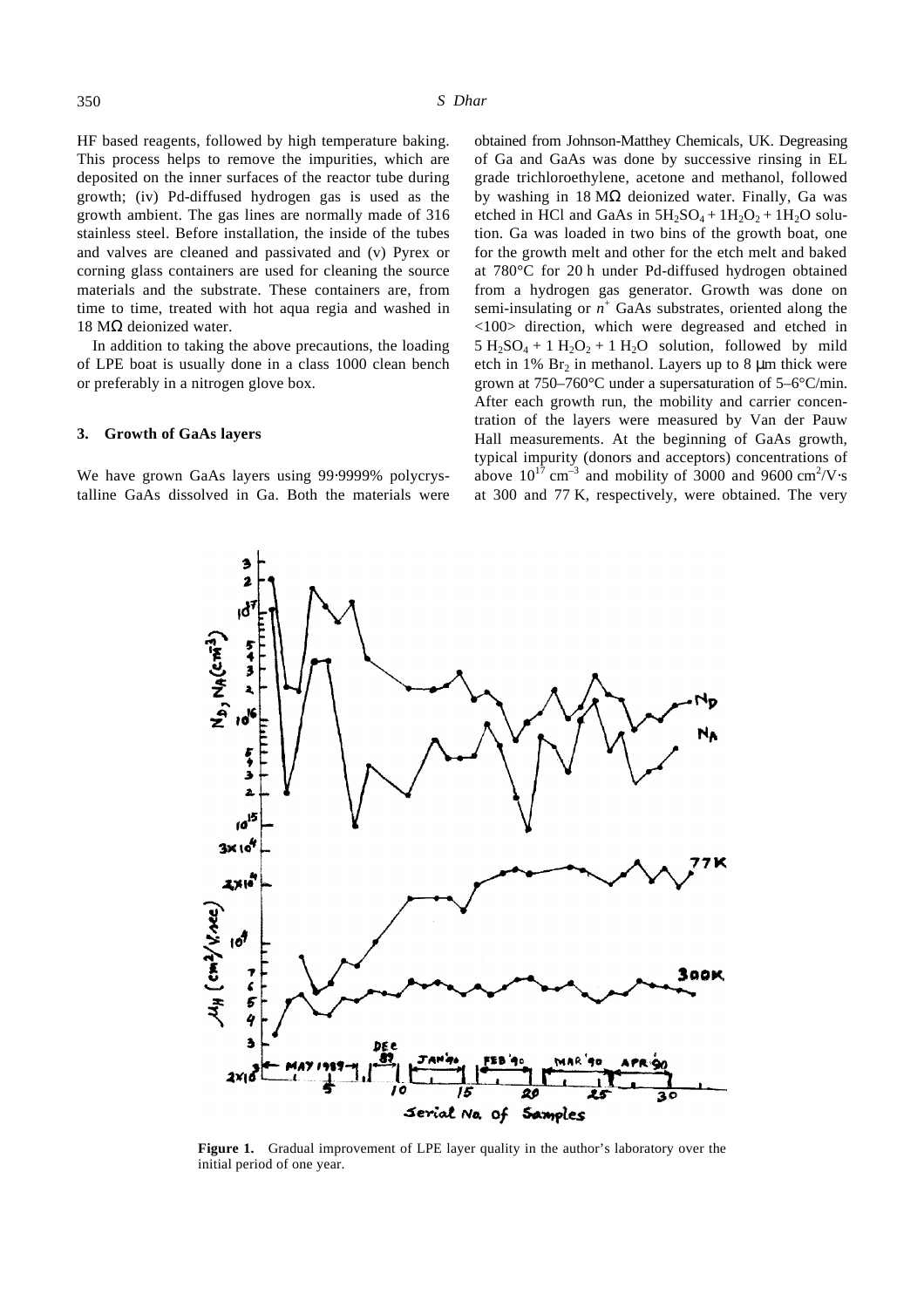HF based reagents, followed by high temperature baking. This process helps to remove the impurities, which are deposited on the inner surfaces of the reactor tube during growth; (iv) Pd-diffused hydrogen gas is used as the growth ambient. The gas lines are normally made of 316 stainless steel. Before installation, the inside of the tubes and valves are cleaned and passivated and (v) Pyrex or corning glass containers are used for cleaning the source materials and the substrate. These containers are, from time to time, treated with hot aqua regia and washed in 18 MΩ deionized water.

In addition to taking the above precautions, the loading of LPE boat is usually done in a class 1000 clean bench or preferably in a nitrogen glove box.

### **3. Growth of GaAs layers**

We have grown GaAs layers using 99⋅9999% polycrystalline GaAs dissolved in Ga. Both the materials were obtained from Johnson-Matthey Chemicals, UK. Degreasing of Ga and GaAs was done by successive rinsing in EL grade trichloroethylene, acetone and methanol, followed by washing in  $18 \text{ M}\Omega$  deionized water. Finally, Ga was etched in HCl and GaAs in  $5H_2SO_4 + 1H_2O_2 + 1H_2O$  solution. Ga was loaded in two bins of the growth boat, one for the growth melt and other for the etch melt and baked at 780°C for 20 h under Pd-diffused hydrogen obtained from a hydrogen gas generator. Growth was done on semi-insulating or  $n^+$  GaAs substrates, oriented along the <100> direction, which were degreased and etched in  $5 H_2SO_4 + 1 H_2O_2 + 1 H_2O$  solution, followed by mild etch in 1%  $Br<sub>2</sub>$  in methanol. Layers up to 8  $\mu$ m thick were grown at 750–760°C under a supersaturation of 5–6°C/min. After each growth run, the mobility and carrier concentration of the layers were measured by Van der Pauw Hall measurements. At the beginning of GaAs growth, typical impurity (donors and acceptors) concentrations of above  $10^{17}$  cm<sup>-3</sup> and mobility of 3000 and 9600 cm<sup>2</sup>/V⋅s at 300 and 77 K, respectively, were obtained. The very

Serial Na of Samples Figure 1. Gradual improvement of LPE layer quality in the author's laboratory over the initial period of one year.



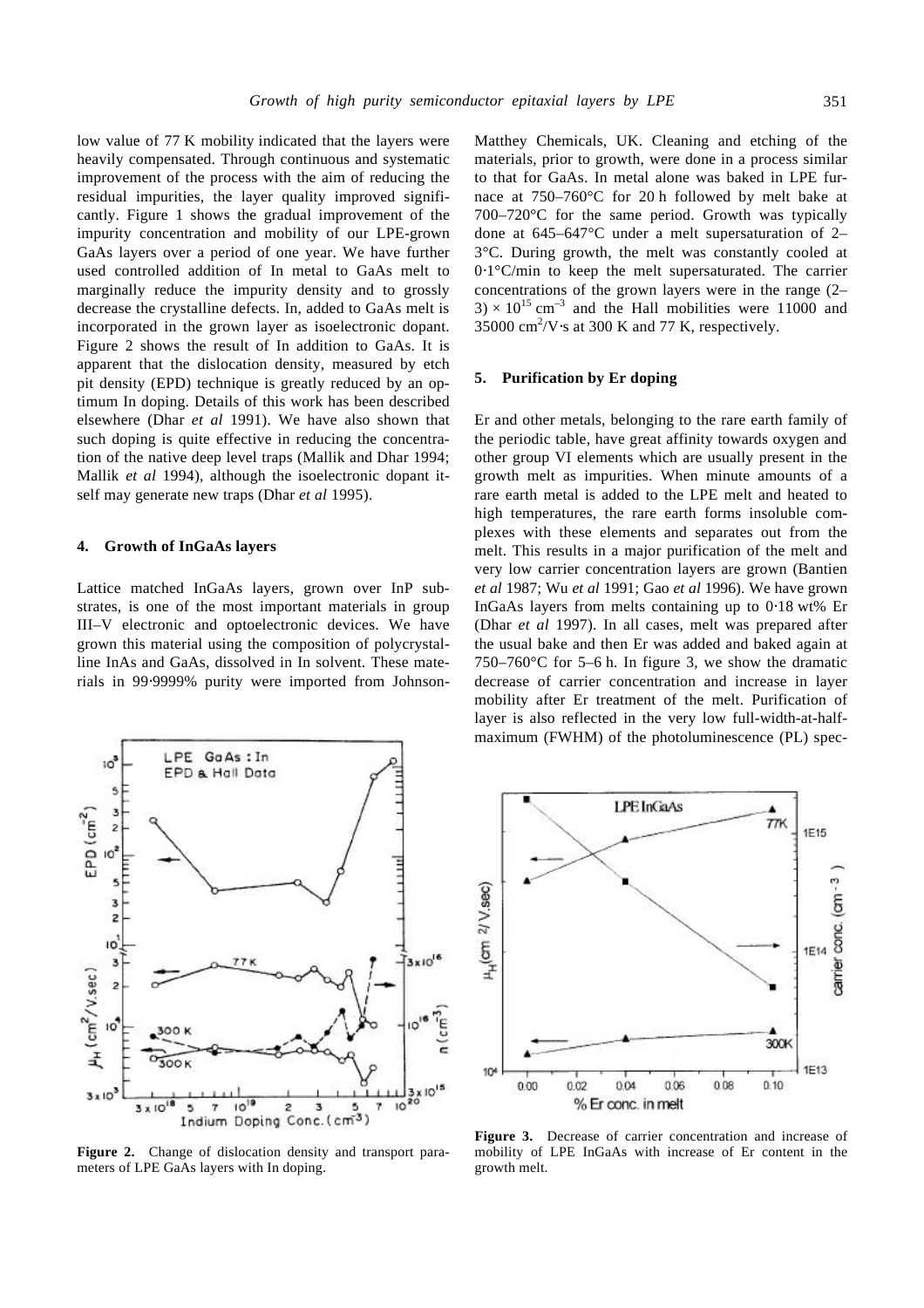low value of 77 K mobility indicated that the layers were heavily compensated. Through continuous and systematic improvement of the process with the aim of reducing the residual impurities, the layer quality improved significantly. Figure 1 shows the gradual improvement of the impurity concentration and mobility of our LPE-grown GaAs layers over a period of one year. We have further used controlled addition of In metal to GaAs melt to marginally reduce the impurity density and to grossly decrease the crystalline defects. In, added to GaAs melt is incorporated in the grown layer as isoelectronic dopant. Figure 2 shows the result of In addition to GaAs. It is apparent that the dislocation density, measured by etch pit density (EPD) technique is greatly reduced by an optimum In doping. Details of this work has been described elsewhere (Dhar *et al* 1991). We have also shown that such doping is quite effective in reducing the concentration of the native deep level traps (Mallik and Dhar 1994; Mallik *et al* 1994), although the isoelectronic dopant itself may generate new traps (Dhar *et al* 1995).

## **4. Growth of InGaAs layers**

Lattice matched InGaAs layers, grown over InP substrates, is one of the most important materials in group III–V electronic and optoelectronic devices. We have grown this material using the composition of polycrystalline InAs and GaAs, dissolved in In solvent. These materials in 99⋅9999% purity were imported from Johnson-



**Figure 2.** Change of dislocation density and transport parameters of LPE GaAs layers with In doping.

Matthey Chemicals, UK. Cleaning and etching of the materials, prior to growth, were done in a process similar to that for GaAs. In metal alone was baked in LPE furnace at 750–760°C for 20 h followed by melt bake at 700–720°C for the same period. Growth was typically done at 645–647°C under a melt supersaturation of 2– 3°C. During growth, the melt was constantly cooled at 0⋅1°C/min to keep the melt supersaturated. The carrier concentrations of the grown layers were in the range (2–  $3 \times 10^{15}$  cm<sup>-3</sup> and the Hall mobilities were 11000 and 35000  $\text{cm}^2/\text{V}\cdot\text{s}$  at 300 K and 77 K, respectively.

#### **5. Purification by Er doping**

Er and other metals, belonging to the rare earth family of the periodic table, have great affinity towards oxygen and other group VI elements which are usually present in the growth melt as impurities. When minute amounts of a rare earth metal is added to the LPE melt and heated to high temperatures, the rare earth forms insoluble complexes with these elements and separates out from the melt. This results in a major purification of the melt and very low carrier concentration layers are grown (Bantien *et al* 1987; Wu *et al* 1991; Gao *et al* 1996). We have grown InGaAs layers from melts containing up to 0⋅18 wt% Er (Dhar *et al* 1997). In all cases, melt was prepared after the usual bake and then Er was added and baked again at 750–760°C for 5–6 h. In figure 3, we show the dramatic decrease of carrier concentration and increase in layer mobility after Er treatment of the melt. Purification of layer is also reflected in the very low full-width-at-halfmaximum (FWHM) of the photoluminescence (PL) spec-



**Figure 3.** Decrease of carrier concentration and increase of mobility of LPE InGaAs with increase of Er content in the growth melt.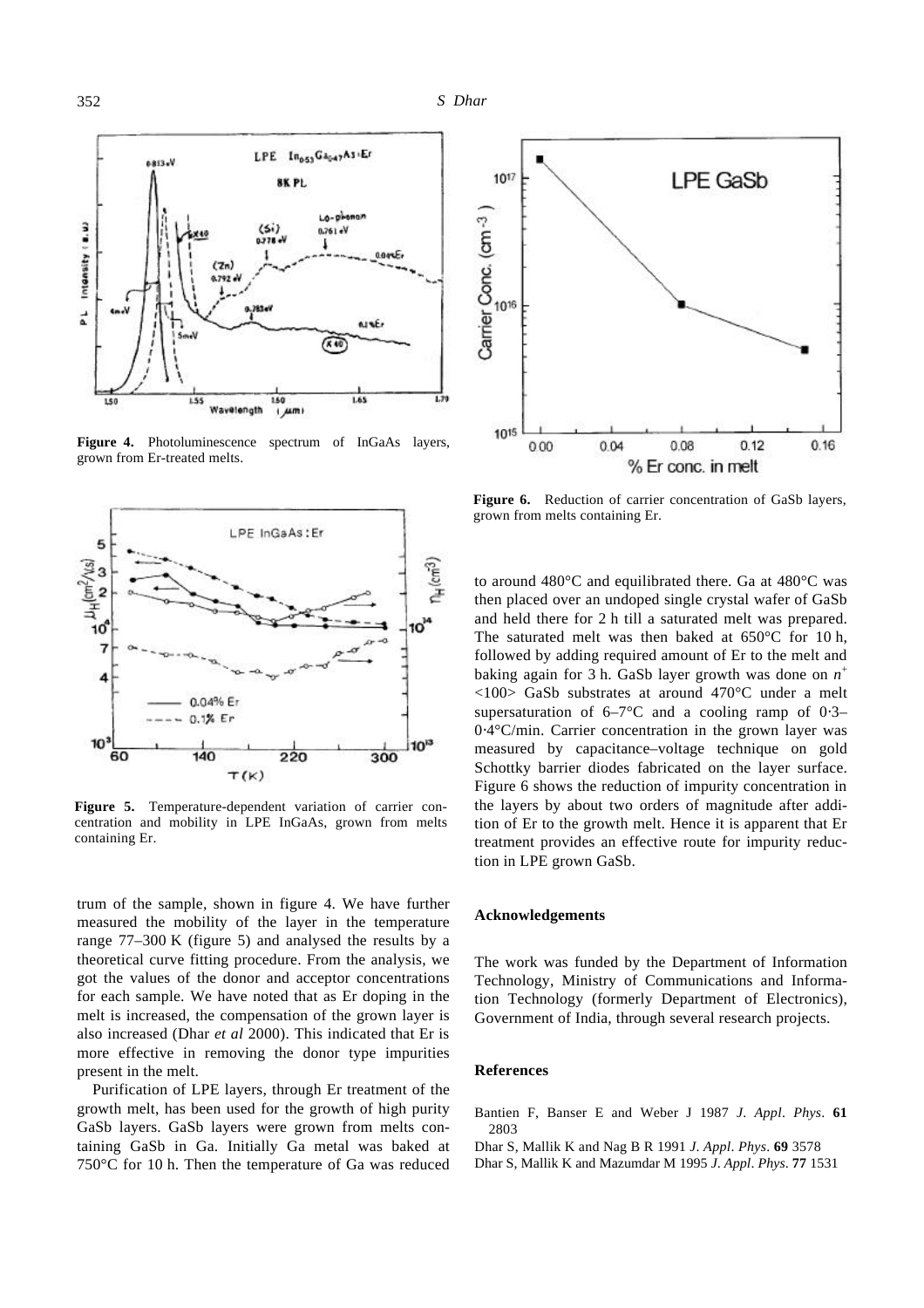

**Figure 4.** Photoluminescence spectrum of InGaAs layers, grown from Er-treated melts.



**Figure 5.** Temperature-dependent variation of carrier concentration and mobility in LPE InGaAs, grown from melts containing Er.

trum of the sample, shown in figure 4. We have further measured the mobility of the layer in the temperature range 77–300 K (figure 5) and analysed the results by a theoretical curve fitting procedure. From the analysis, we got the values of the donor and acceptor concentrations for each sample. We have noted that as Er doping in the melt is increased, the compensation of the grown layer is also increased (Dhar *et al* 2000). This indicated that Er is more effective in removing the donor type impurities present in the melt.

Purification of LPE layers, through Er treatment of the growth melt, has been used for the growth of high purity GaSb layers. GaSb layers were grown from melts containing GaSb in Ga. Initially Ga metal was baked at 750°C for 10 h. Then the temperature of Ga was reduced



**Figure 6.** Reduction of carrier concentration of GaSb layers, grown from melts containing Er.

to around 480°C and equilibrated there. Ga at 480°C was then placed over an undoped single crystal wafer of GaSb and held there for 2 h till a saturated melt was prepared. The saturated melt was then baked at  $650^{\circ}$ C for 10 h, followed by adding required amount of Er to the melt and baking again for 3 h. GaSb layer growth was done on *n* +  $\langle 100 \rangle$  GaSb substrates at around 470 °C under a melt supersaturation of  $6-7$ °C and a cooling ramp of 0⋅3– 0⋅4°C/min. Carrier concentration in the grown layer was measured by capacitance–voltage technique on gold Schottky barrier diodes fabricated on the layer surface. Figure 6 shows the reduction of impurity concentration in the layers by about two orders of magnitude after addition of Er to the growth melt. Hence it is apparent that Er treatment provides an effective route for impurity reduction in LPE grown GaSb.

## **Acknowledgements**

The work was funded by the Department of Information Technology, Ministry of Communications and Information Technology (formerly Department of Electronics), Government of India, through several research projects.

#### **References**

- Bantien F, Banser E and Weber J 1987 *J*. *Appl*. *Phys*. **61** 2803
- Dhar S, Mallik K and Nag B R 1991 *J*. *Appl*. *Phys*. **69** 3578
- Dhar S, Mallik K and Mazumdar M 1995 *J*. *Appl*. *Phys*. **77** 1531